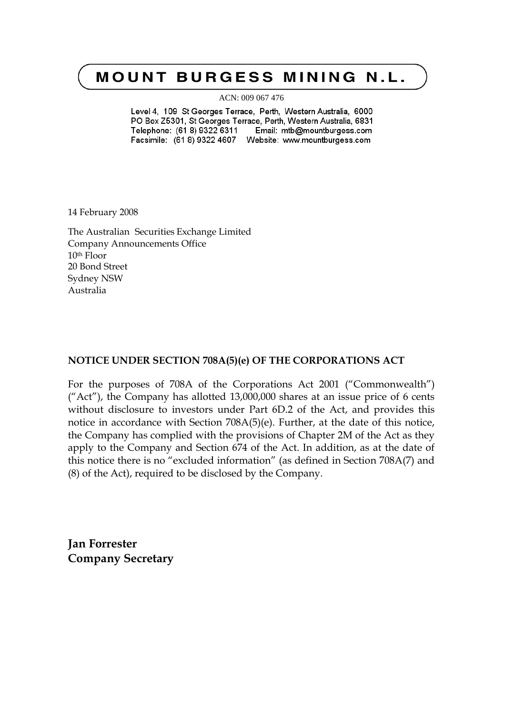# **MOUNT BURGESS MINING N.L.**

ACN: 009 067 476

Level 4, 109 St Georges Terrace, Perth, Western Australia, 6000 PO Box Z5301, St Georges Terrace, Perth, Western Australia, 6831 Telephone: (61 8) 9322 6311 Email: mtb@mountburgess.com 

14 February 2008

The Australian Securities Exchange Limited Company Announcements Office 10th Floor 20 Bond Street Sydney NSW Australia

### **NOTICE UNDER SECTION 708A(5)(e) OF THE CORPORATIONS ACT**

For the purposes of 708A of the Corporations Act 2001 ("Commonwealth") ("Act"), the Company has allotted 13,000,000 shares at an issue price of 6 cents without disclosure to investors under Part 6D.2 of the Act, and provides this notice in accordance with Section 708A(5)(e). Further, at the date of this notice, the Company has complied with the provisions of Chapter 2M of the Act as they apply to the Company and Section 674 of the Act. In addition, as at the date of this notice there is no "excluded information" (as defined in Section 708A(7) and (8) of the Act), required to be disclosed by the Company.

**Jan Forrester Company Secretary**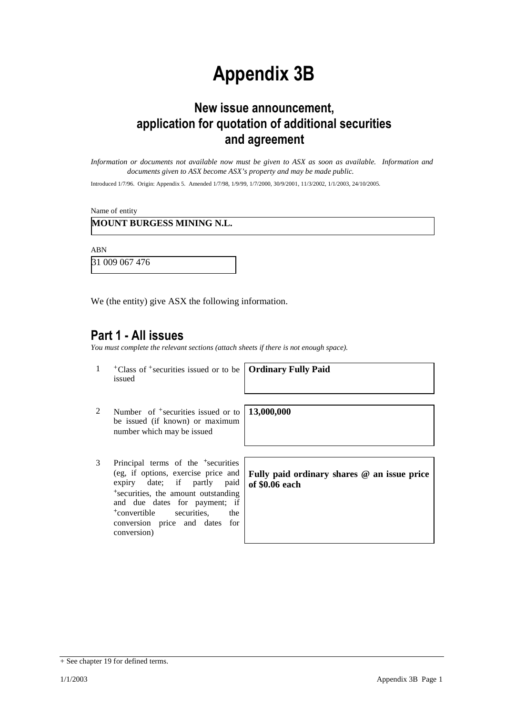# **Appendix 3B**

# **New issue announcement, application for quotation of additional securities and agreement**

*Information or documents not available now must be given to ASX as soon as available. Information and documents given to ASX become ASX's property and may be made public.*

Introduced 1/7/96. Origin: Appendix 5. Amended 1/7/98, 1/9/99, 1/7/2000, 30/9/2001, 11/3/2002, 1/1/2003, 24/10/2005.

Name of entity

### **MOUNT BURGESS MINING N.L.**

ABN

31 009 067 476

We (the entity) give ASX the following information.

### **Part 1 - All issues**

*You must complete the relevant sections (attach sheets if there is not enough space).*

1 +Class of +securities issued or to be issued

**Ordinary Fully Paid**

**13,000,000**

- 2 Number of <sup>+</sup>securities issued or to be issued (if known) or maximum number which may be issued
- 3 Principal terms of the <sup>+</sup>securities (eg, if options, exercise price and expiry date; if partly paid <sup>+</sup>securities, the amount outstanding and due dates for payment; if <sup>+</sup>convertible securities, the conversion price and dates for conversion)

**Fully paid ordinary shares @ an issue price of \$0.06 each**

<sup>+</sup> See chapter 19 for defined terms.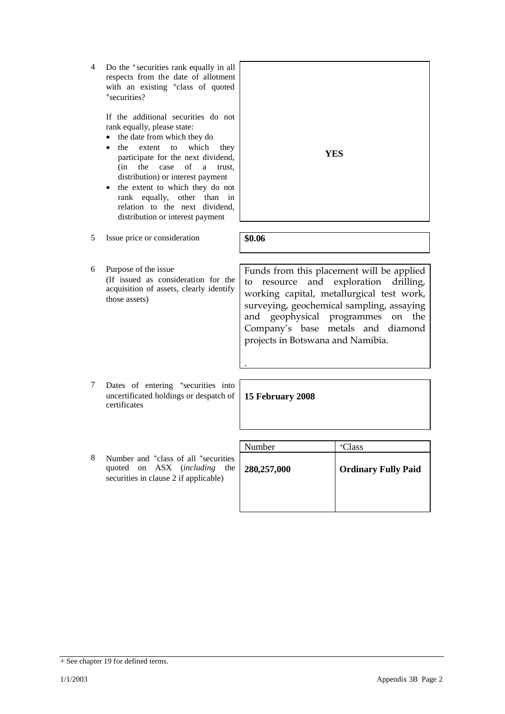4 Do the <sup>+</sup>securities rank equally in all respects from the date of allotment with an existing <sup>+</sup>class of quoted <sup>+</sup>securities?

> If the additional securities do not rank equally, please state:

- the date from which they do
- the extent to which they participate for the next dividend, (in the case of a trust, distribution) or interest payment
- the extent to which they do not rank equally, other than in relation to the next dividend, distribution or interest payment

5 Issue price or consideration **\$0.06**

6 Purpose of the issue (If issued as consideration for the acquisition of assets, clearly identify those assets)

Funds from this placement will be applied to resource and exploration drilling, working capital, metallurgical test work, surveying, geochemical sampling, assaying and geophysical programmes on the Company's base metals and diamond projects in Botswana and Namibia.

7 Dates of entering <sup>+</sup>securities into uncertificated holdings or despatch of certificates

**15 February 2008**

.

8 Number and <sup>+</sup>class of all <sup>+</sup>securities quoted on ASX (*including* the securities in clause 2 if applicable)

| Number      | <sup>+</sup> Class         |
|-------------|----------------------------|
| 280,257,000 | <b>Ordinary Fully Paid</b> |
|             |                            |



#### $+$  See chapter 19 for defined terms.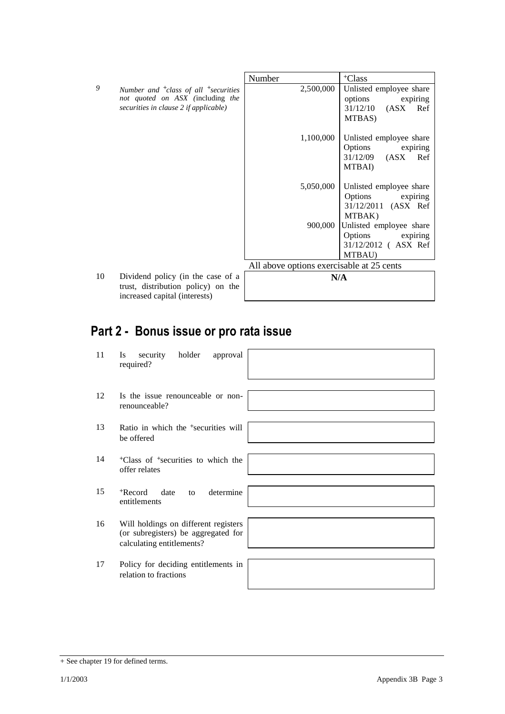|    |                                                  | Number                                    | <sup>+</sup> Class                      |
|----|--------------------------------------------------|-------------------------------------------|-----------------------------------------|
| 9  | Number and $^{+}$ class of all $^{+}$ securities | 2,500,000                                 | Unlisted employee share                 |
|    | not quoted on ASX (including the                 |                                           | options<br>expiring                     |
|    | securities in clause 2 if applicable)            |                                           | 31/12/10<br>(ASX)<br>Ref                |
|    |                                                  |                                           | MTBAS)                                  |
|    |                                                  | 1,100,000                                 | Unlisted employee share                 |
|    |                                                  |                                           | Options<br>expiring                     |
|    |                                                  |                                           | $31/12/09$ $(ASK)$<br>Ref               |
|    |                                                  |                                           | MTBAI)                                  |
|    |                                                  | 5,050,000                                 | Unlisted employee share                 |
|    |                                                  |                                           | Options<br>expiring                     |
|    |                                                  |                                           | 31/12/2011 (ASX Ref                     |
|    |                                                  |                                           | MTBAK)                                  |
|    |                                                  | 900,000                                   | Unlisted employee share                 |
|    |                                                  |                                           | Options expiring<br>31/12/2012 (ASX Ref |
|    |                                                  |                                           | MTBAU)                                  |
|    |                                                  | All above options exercisable at 25 cents |                                         |
| 10 | Dividend policy (in the case of a                | N/A                                       |                                         |
|    | trust, distribution policy) on the               |                                           |                                         |
|    | increased capital (interests)                    |                                           |                                         |

# **Part 2 - Bonus issue or pro rata issue**

| 11 | holder<br>security<br>approval<br>Is<br>required?                                                        |  |
|----|----------------------------------------------------------------------------------------------------------|--|
| 12 | Is the issue renounceable or non-<br>renounceable?                                                       |  |
| 13 | Ratio in which the <sup>+</sup> securities will<br>be offered                                            |  |
| 14 | <sup>+</sup> Class of <sup>+</sup> securities to which the<br>offer relates                              |  |
| 15 | <sup>+</sup> Record<br>determine<br>date<br>to<br>entitlements                                           |  |
| 16 | Will holdings on different registers<br>(or subregisters) be aggregated for<br>calculating entitlements? |  |
| 17 | Policy for deciding entitlements in<br>relation to fractions                                             |  |

<sup>+</sup> See chapter 19 for defined terms.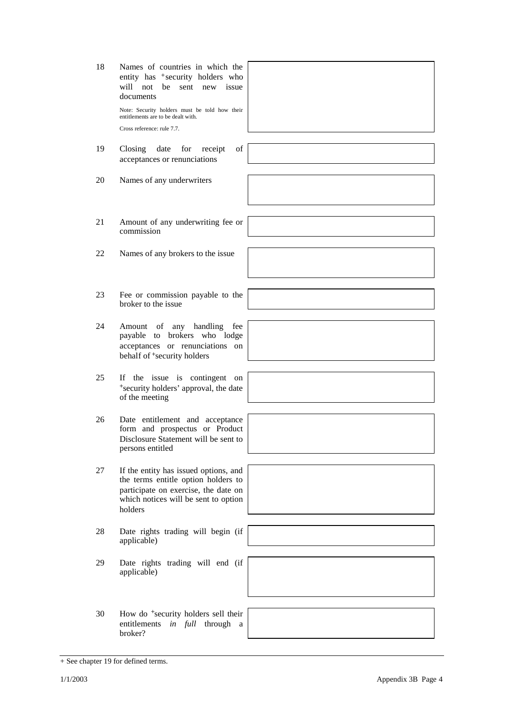21 Amount of any underwriting fee or commission 22 Names of any brokers to the issue 23 Fee or commission payable to the broker to the issue 24 Amount of any handling fee payable to brokers who lodge acceptances or renunciations on behalf of <sup>+</sup>security holders 25 If the issue is contingent on <sup>+</sup>security holders' approval, the date of the meeting 26 Date entitlement and acceptance form and prospectus or Product Disclosure Statement will be sent to persons entitled 27 If the entity has issued options, and the terms entitle option holders to participate on exercise, the date on which notices will be sent to option holders 28 Date rights trading will begin (if applicable) 29 Date rights trading will end (if applicable) 30 How do <sup>+</sup>security holders sell their entitlements *in full* through a broker?



Note: Security holders must be told how their entitlements are to be dealt with. Cross reference: rule 7.7.

18 Names of countries in which the entity has +security holders who will not be sent new issue

- 19 Closing date for receipt of acceptances or renunciations
- 20 Names of any underwriters

documents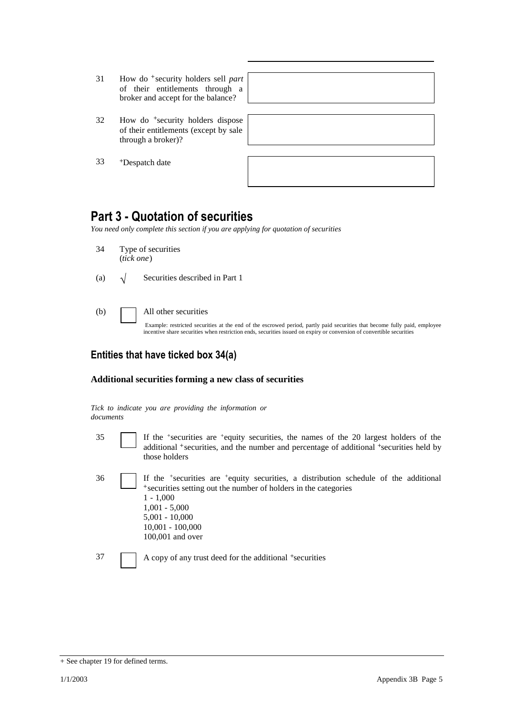- 31 How do <sup>+</sup>security holders sell *part* of their entitlements through a broker and accept for the balance?
- 32 How do <sup>+</sup>security holders dispose of their entitlements (except by sale through a broker)?
- 33 <sup>+</sup>Despatch date

## **Part 3 - Quotation of securities**

*You need only complete this section if you are applying for quotation of securities*

- 34 Type of securities (*tick one*)
- (a)  $\sqrt{\phantom{a}}$  Securities described in Part 1
- (b) All other securities

Example: restricted securities at the end of the escrowed period, partly paid securities that become fully paid, employee incentive share securities when restriction ends, securities issued on expiry or conversion of convertible securities

### **Entities that have ticked box 34(a)**

### **Additional securities forming a new class of securities**

*Tick to indicate you are providing the information or documents*

- 
- 35 If the <sup>+</sup> securities are <sup>+</sup>equity securities, the names of the 20 largest holders of the additional <sup>+</sup>securities, and the number and percentage of additional <sup>+</sup>securities held by those holders
- 36 If the <sup>+</sup> securities are <sup>+</sup>equity securities, a distribution schedule of the additional <sup>+</sup>securities setting out the number of holders in the categories 1 - 1,000 1,001 - 5,000 5,001 - 10,000 10,001 - 100,000 100,001 and over

37 A copy of any trust deed for the additional +securities

<sup>+</sup> See chapter 19 for defined terms.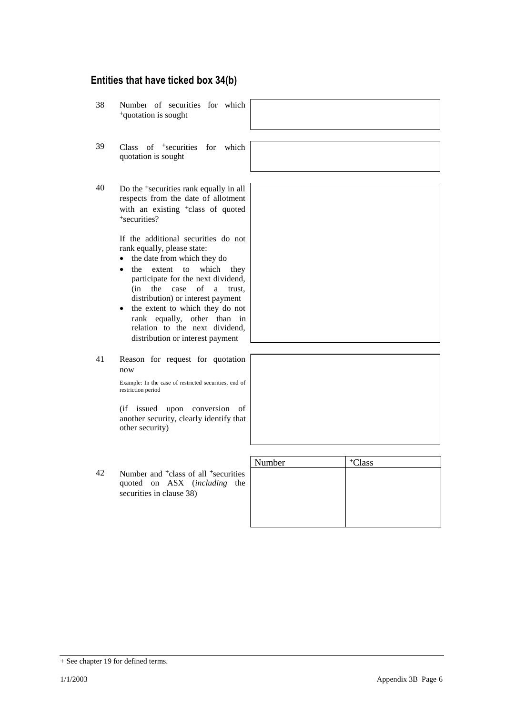### **Entities that have ticked box 34(b)**

- 38 Number of securities for which <sup>+</sup>quotation is sought 39 Class of <sup>+</sup>securities for which quotation is sought 40 Do the <sup>+</sup>securities rank equally in all respects from the date of allotment with an existing <sup>+</sup>class of quoted <sup>+</sup>securities? If the additional securities do not rank equally, please state: • the date from which they do • the extent to which they participate for the next dividend, (in the case of a trust, distribution) or interest payment • the extent to which they do not rank equally, other than in relation to the next dividend, distribution or interest payment 41 Reason for request for quotation now Example: In the case of restricted securities, end of restriction period (if issued upon conversion of another security, clearly identify that other security) Number | +Class
- 42 Number and <sup>+</sup>class of all <sup>+</sup>securities quoted on ASX (*including* the securities in clause 38)

| Number | <sup>+</sup> Class |
|--------|--------------------|
|        |                    |
|        |                    |
|        |                    |
|        |                    |
|        |                    |

<sup>+</sup> See chapter 19 for defined terms.